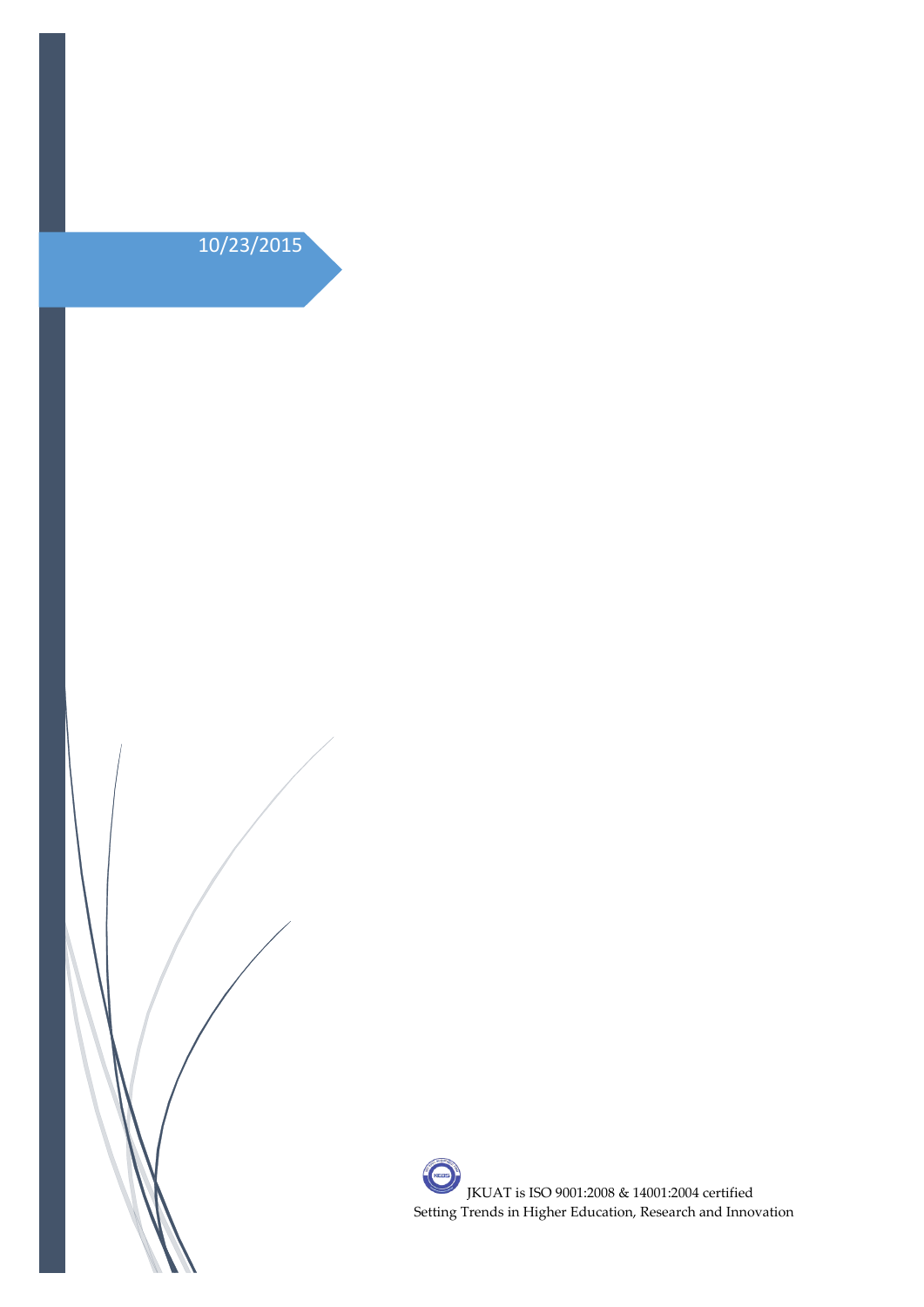

**CONSTRUCTION** JKUAT is ISO 9001:2008 & 14001:2004 certified Setting Trends in Higher Education, Research and Innovation $\overline{1}$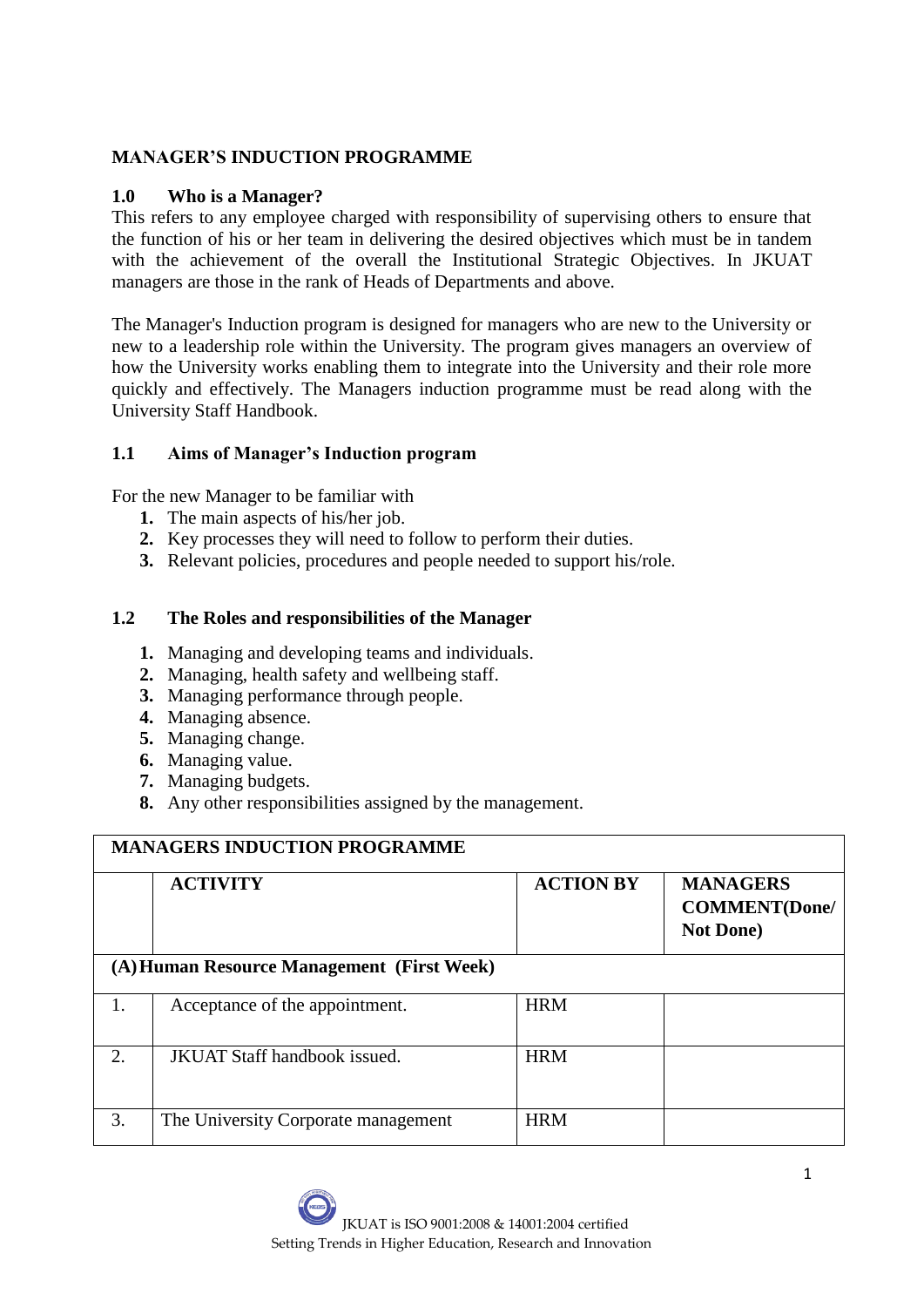## **MANAGER'S INDUCTION PROGRAMME**

#### **1.0 Who is a Manager?**

This refers to any employee charged with responsibility of supervising others to ensure that the function of his or her team in delivering the desired objectives which must be in tandem with the achievement of the overall the Institutional Strategic Objectives. In JKUAT managers are those in the rank of Heads of Departments and above.

The Manager's Induction program is designed for managers who are new to the University or new to a leadership role within the University. The program gives managers an overview of how the University works enabling them to integrate into the University and their role more quickly and effectively. The Managers induction programme must be read along with the University Staff Handbook.

## **1.1 Aims of Manager's Induction program**

For the new Manager to be familiar with

- **1.** The main aspects of his/her job.
- **2.** Key processes they will need to follow to perform their duties.
- **3.** Relevant policies, procedures and people needed to support his/role.

## **1.2 The Roles and responsibilities of the Manager**

- **1.** Managing and developing teams and individuals.
- **2.** Managing, health safety and wellbeing staff.
- **3.** Managing performance through people.
- **4.** Managing absence.
- **5.** Managing change.
- **6.** Managing value.
- **7.** Managing budgets.
- **8.** Any other responsibilities assigned by the management.

| <b>MANAGERS INDUCTION PROGRAMME</b>        |                                     |                  |                                                               |  |  |
|--------------------------------------------|-------------------------------------|------------------|---------------------------------------------------------------|--|--|
|                                            | <b>ACTIVITY</b>                     | <b>ACTION BY</b> | <b>MANAGERS</b><br><b>COMMENT</b> (Done/<br><b>Not Done</b> ) |  |  |
| (A) Human Resource Management (First Week) |                                     |                  |                                                               |  |  |
| 1.                                         | Acceptance of the appointment.      | <b>HRM</b>       |                                                               |  |  |
| $\overline{2}$ .                           | <b>JKUAT Staff handbook issued.</b> | <b>HRM</b>       |                                                               |  |  |
| 3.                                         | The University Corporate management | <b>HRM</b>       |                                                               |  |  |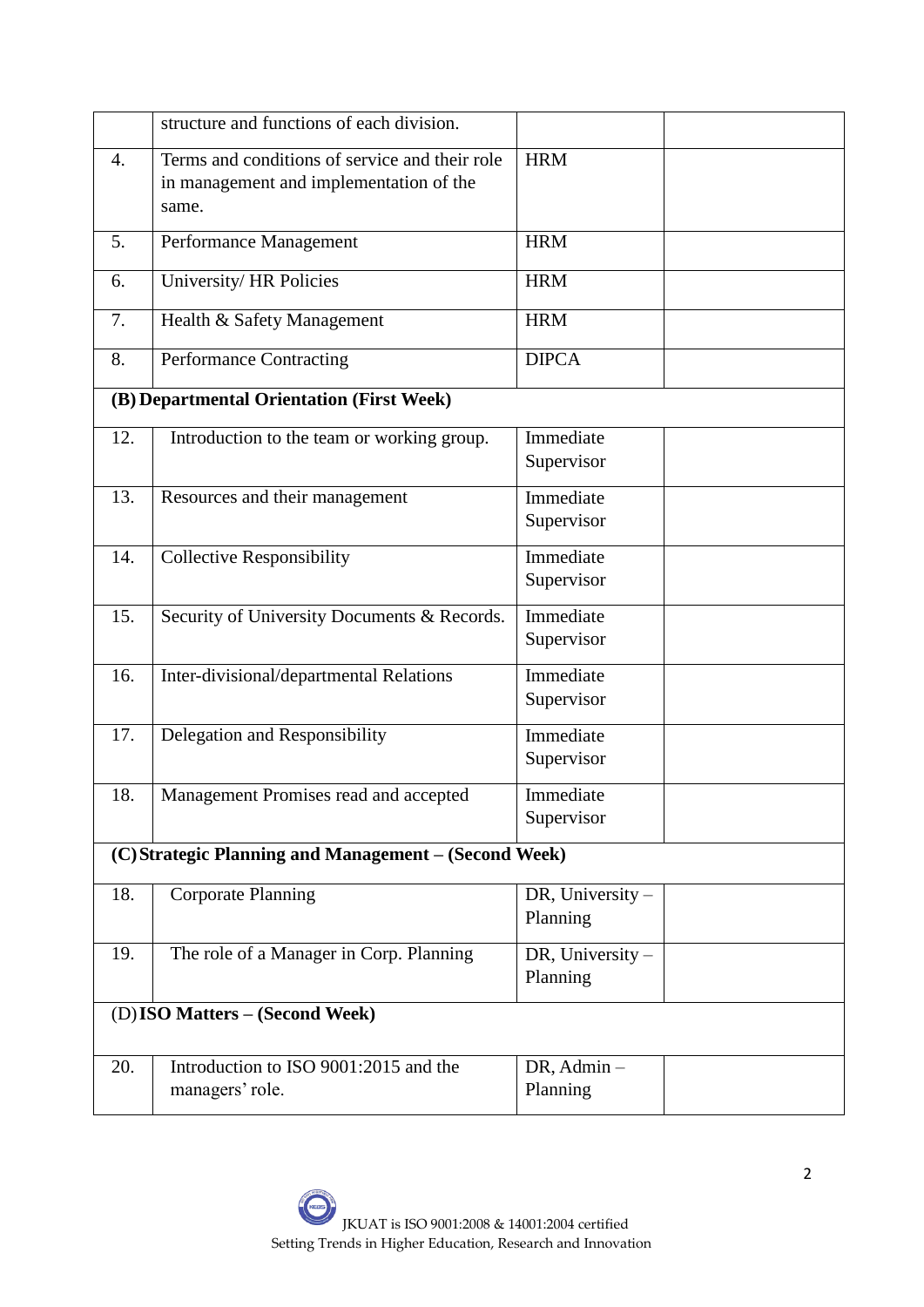|                                                       | structure and functions of each division.                                                          |                    |  |  |  |
|-------------------------------------------------------|----------------------------------------------------------------------------------------------------|--------------------|--|--|--|
| 4.                                                    | Terms and conditions of service and their role<br>in management and implementation of the<br>same. | <b>HRM</b>         |  |  |  |
| 5.                                                    | Performance Management                                                                             | <b>HRM</b>         |  |  |  |
| 6.                                                    | University/HR Policies                                                                             | <b>HRM</b>         |  |  |  |
| 7.                                                    | Health & Safety Management                                                                         | <b>HRM</b>         |  |  |  |
| 8.                                                    | Performance Contracting                                                                            | <b>DIPCA</b>       |  |  |  |
| (B) Departmental Orientation (First Week)             |                                                                                                    |                    |  |  |  |
| 12.                                                   | Introduction to the team or working group.                                                         | Immediate          |  |  |  |
|                                                       |                                                                                                    | Supervisor         |  |  |  |
| 13.                                                   | Resources and their management                                                                     | Immediate          |  |  |  |
|                                                       |                                                                                                    | Supervisor         |  |  |  |
| 14.                                                   | <b>Collective Responsibility</b>                                                                   | Immediate          |  |  |  |
|                                                       |                                                                                                    | Supervisor         |  |  |  |
| 15.                                                   | Security of University Documents & Records.                                                        | Immediate          |  |  |  |
|                                                       |                                                                                                    | Supervisor         |  |  |  |
| 16.                                                   | Inter-divisional/departmental Relations                                                            | Immediate          |  |  |  |
|                                                       |                                                                                                    | Supervisor         |  |  |  |
| 17.                                                   | Delegation and Responsibility                                                                      | Immediate          |  |  |  |
|                                                       |                                                                                                    | Supervisor         |  |  |  |
| 18.                                                   | Management Promises read and accepted                                                              | Immediate          |  |  |  |
|                                                       |                                                                                                    | Supervisor         |  |  |  |
| (C) Strategic Planning and Management - (Second Week) |                                                                                                    |                    |  |  |  |
| 18.                                                   | <b>Corporate Planning</b>                                                                          | DR, University $-$ |  |  |  |
|                                                       |                                                                                                    | Planning           |  |  |  |
| 19.                                                   | The role of a Manager in Corp. Planning                                                            | DR, University $-$ |  |  |  |
|                                                       |                                                                                                    | Planning           |  |  |  |
| (D) ISO Matters – (Second Week)                       |                                                                                                    |                    |  |  |  |
| 20.                                                   | Introduction to ISO 9001:2015 and the                                                              | $DR,$ Admin $-$    |  |  |  |
|                                                       | managers' role.                                                                                    | Planning           |  |  |  |
|                                                       |                                                                                                    |                    |  |  |  |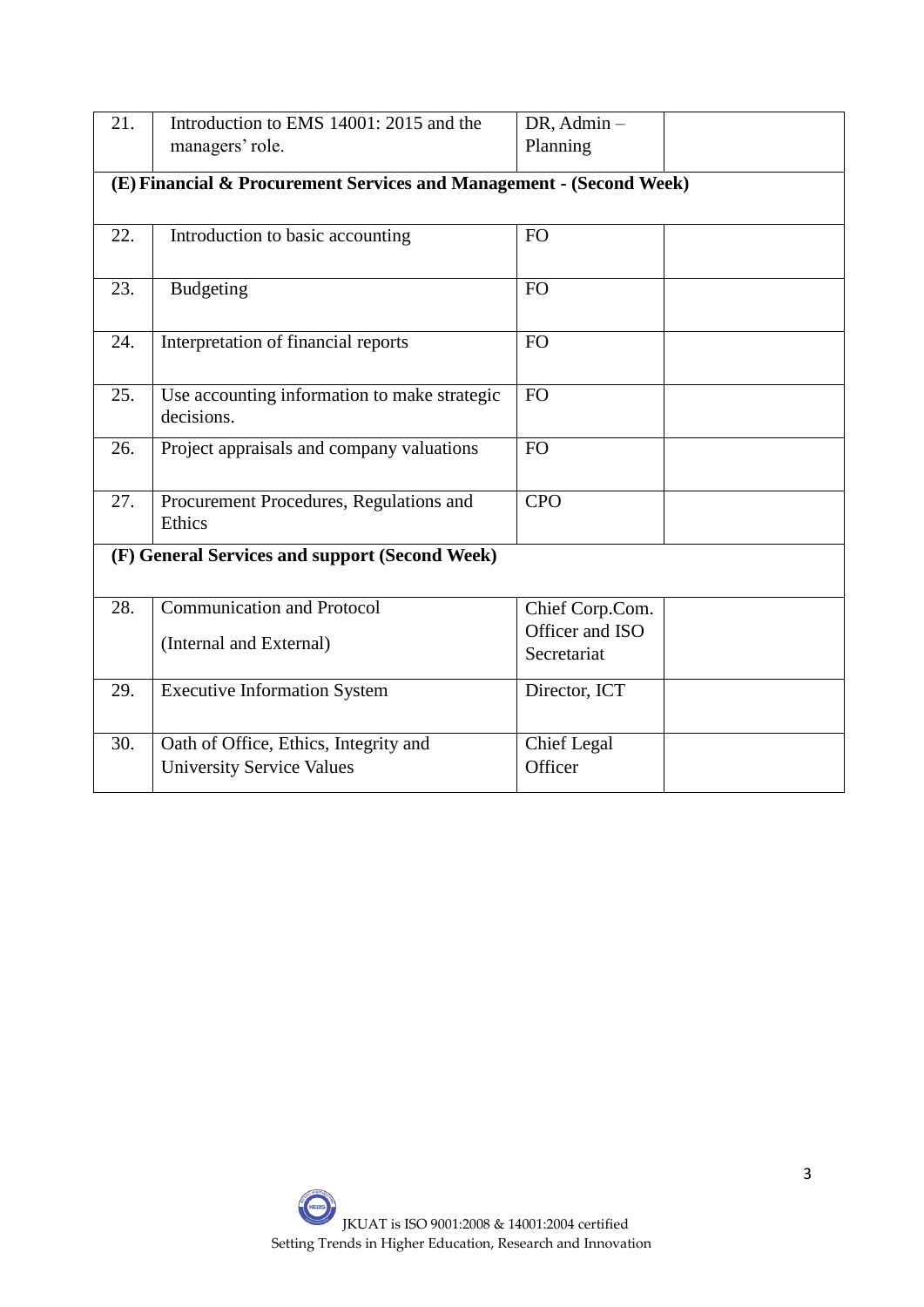| 21. | Introduction to EMS 14001: 2015 and the                             | DR, Admin-         |  |  |  |  |
|-----|---------------------------------------------------------------------|--------------------|--|--|--|--|
|     | managers' role.                                                     | Planning           |  |  |  |  |
|     |                                                                     |                    |  |  |  |  |
|     | (E) Financial & Procurement Services and Management - (Second Week) |                    |  |  |  |  |
|     |                                                                     |                    |  |  |  |  |
| 22. | Introduction to basic accounting                                    | <b>FO</b>          |  |  |  |  |
|     |                                                                     |                    |  |  |  |  |
|     |                                                                     |                    |  |  |  |  |
| 23. | <b>Budgeting</b>                                                    | <b>FO</b>          |  |  |  |  |
|     |                                                                     |                    |  |  |  |  |
| 24. | Interpretation of financial reports                                 | <b>FO</b>          |  |  |  |  |
|     |                                                                     |                    |  |  |  |  |
|     |                                                                     |                    |  |  |  |  |
| 25. | Use accounting information to make strategic                        | FO                 |  |  |  |  |
|     | decisions.                                                          |                    |  |  |  |  |
| 26. | Project appraisals and company valuations                           | <b>FO</b>          |  |  |  |  |
|     |                                                                     |                    |  |  |  |  |
|     |                                                                     |                    |  |  |  |  |
| 27. | Procurement Procedures, Regulations and                             | <b>CPO</b>         |  |  |  |  |
|     | Ethics                                                              |                    |  |  |  |  |
|     | (F) General Services and support (Second Week)                      |                    |  |  |  |  |
|     |                                                                     |                    |  |  |  |  |
|     |                                                                     |                    |  |  |  |  |
| 28. | <b>Communication and Protocol</b>                                   | Chief Corp.Com.    |  |  |  |  |
|     | (Internal and External)                                             | Officer and ISO    |  |  |  |  |
|     |                                                                     | Secretariat        |  |  |  |  |
|     |                                                                     |                    |  |  |  |  |
| 29. | <b>Executive Information System</b>                                 | Director, ICT      |  |  |  |  |
|     |                                                                     |                    |  |  |  |  |
| 30. | Oath of Office, Ethics, Integrity and                               | <b>Chief Legal</b> |  |  |  |  |
|     | <b>University Service Values</b>                                    | Officer            |  |  |  |  |
|     |                                                                     |                    |  |  |  |  |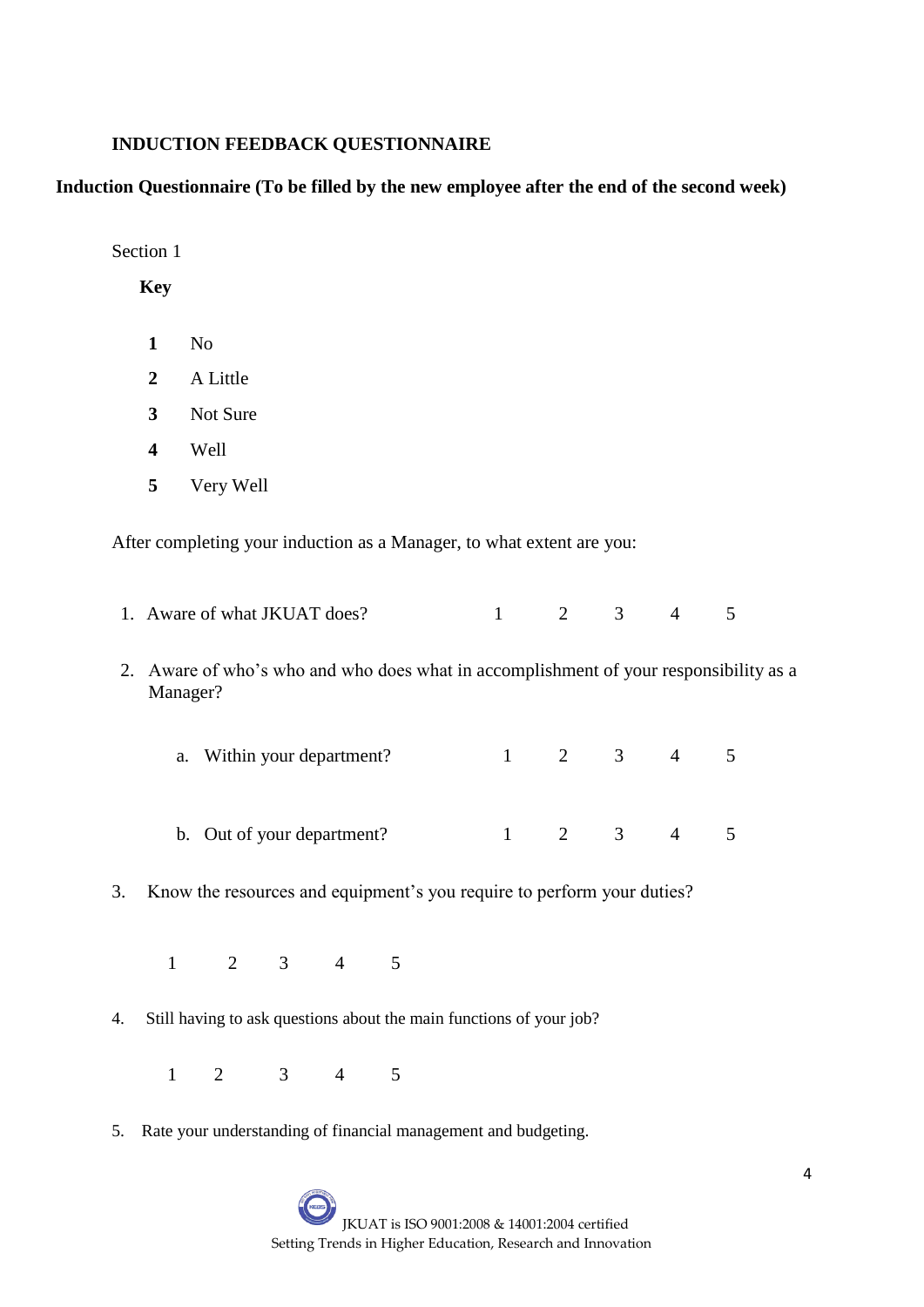#### **INDUCTION FEEDBACK QUESTIONNAIRE**

#### **Induction Questionnaire (To be filled by the new employee after the end of the second week)**

Section 1

**Key**

- **1** No
- **2** A Little
- **3** Not Sure
- **4** Well
- **5** Very Well

After completing your induction as a Manager, to what extent are you:

- 1. Aware of what JKUAT does? 1 2 3 4 5
- 2. Aware of who's who and who does what in accomplishment of your responsibility as a Manager?
	- a. Within your department?  $1 \t 2 \t 3 \t 4 \t 5$
	- b. Out of your department?  $1 \t 2 \t 3 \t 4 \t 5$
- 3. Know the resources and equipment's you require to perform your duties?
	- 1 2 3 4 5
- 4. Still having to ask questions about the main functions of your job?
	- 1 2 3 4 5
- 5. Rate your understanding of financial management and budgeting.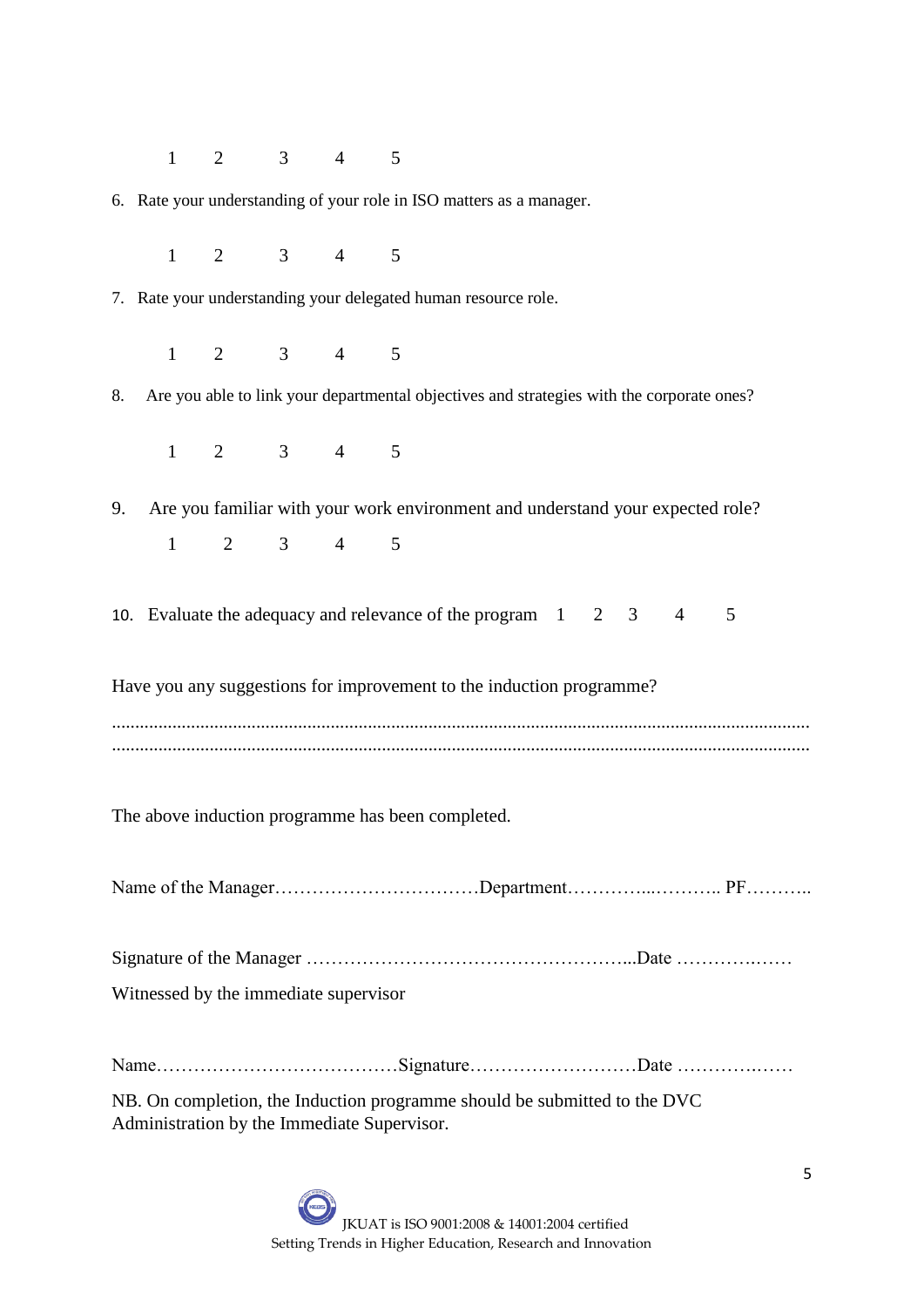1 2 3 4 5

6. Rate your understanding of your role in ISO matters as a manager.

1 2 3 4 5

7. Rate your understanding your delegated human resource role.

1 2 3 4 5

8. Are you able to link your departmental objectives and strategies with the corporate ones?

1 2 3 4 5

9. Are you familiar with your work environment and understand your expected role? 1 2 3 4 5

10. Evaluate the adequacy and relevance of the program 1 2 3 4 5

Have you any suggestions for improvement to the induction programme?

......................................................................................................................................................

The above induction programme has been completed.

Name of the Manager……………………………Department…………...……….. PF………..

Signature of the Manager ……………………………………………...Date ………….…… Witnessed by the immediate supervisor

Name…………………………………Signature………………………Date ………….……

NB. On completion, the Induction programme should be submitted to the DVC Administration by the Immediate Supervisor.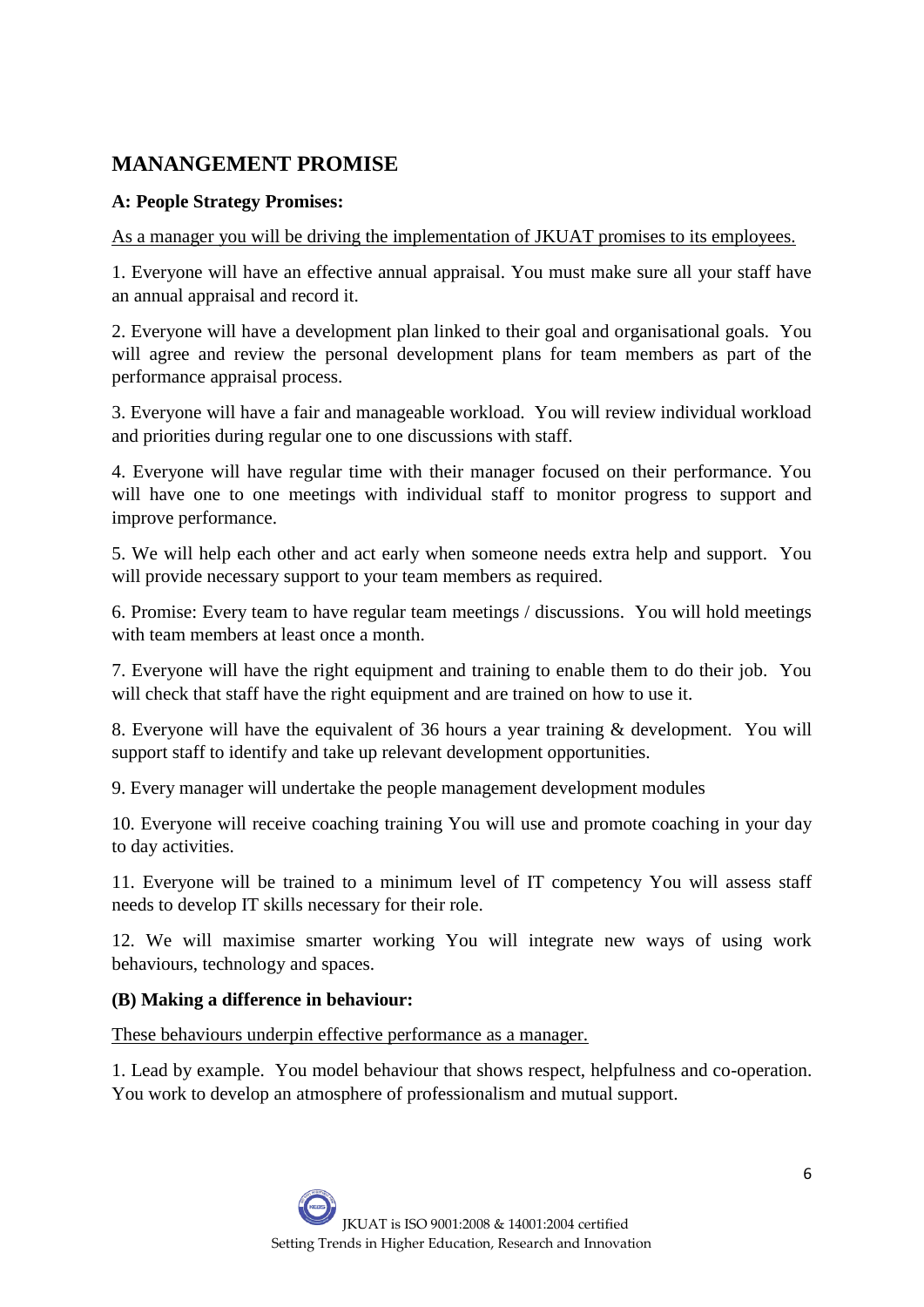# **MANANGEMENT PROMISE**

# **A: People Strategy Promises:**

As a manager you will be driving the implementation of JKUAT promises to its employees.

1. Everyone will have an effective annual appraisal. You must make sure all your staff have an annual appraisal and record it.

2. Everyone will have a development plan linked to their goal and organisational goals. You will agree and review the personal development plans for team members as part of the performance appraisal process.

3. Everyone will have a fair and manageable workload. You will review individual workload and priorities during regular one to one discussions with staff.

4. Everyone will have regular time with their manager focused on their performance. You will have one to one meetings with individual staff to monitor progress to support and improve performance.

5. We will help each other and act early when someone needs extra help and support. You will provide necessary support to your team members as required.

6. Promise: Every team to have regular team meetings / discussions. You will hold meetings with team members at least once a month.

7. Everyone will have the right equipment and training to enable them to do their job. You will check that staff have the right equipment and are trained on how to use it.

8. Everyone will have the equivalent of 36 hours a year training & development. You will support staff to identify and take up relevant development opportunities.

9. Every manager will undertake the people management development modules

10. Everyone will receive coaching training You will use and promote coaching in your day to day activities.

11. Everyone will be trained to a minimum level of IT competency You will assess staff needs to develop IT skills necessary for their role.

12. We will maximise smarter working You will integrate new ways of using work behaviours, technology and spaces.

# **(B) Making a difference in behaviour:**

These behaviours underpin effective performance as a manager.

1. Lead by example. You model behaviour that shows respect, helpfulness and co-operation. You work to develop an atmosphere of professionalism and mutual support.